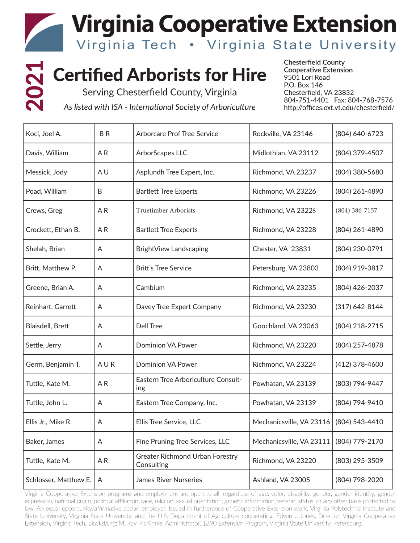**Virginia Cooperative Extension** 

Virginia Tech • Virginia State University

# **2021 Certified Arborists for Hire**

Serving Chesterfield County, Virginia

As listed with ISA - International Society of Arboriculture

**Chesterfield County Cooperative Extension** 9501 Lori Road P.O. Box 146 Chesterfield, VA 23832 804-751-4401 Fax: 804-768-7576 http://offices.ext.vt.edu/chesterfield/

| Koci, Joel A.         | B <sub>R</sub> | <b>Arborcare Prof Tree Service</b>            | Rockville, VA 23146      | (804) 640-6723     |
|-----------------------|----------------|-----------------------------------------------|--------------------------|--------------------|
| Davis, William        | A <sub>R</sub> | ArborScapes LLC                               | Midlothian, VA 23112     | (804) 379-4507     |
| Messick, Jody         | A <sub>U</sub> | Asplundh Tree Expert, Inc.                    | Richmond, VA 23237       | (804) 380-5680     |
| Poad, William         | B              | <b>Bartlett Tree Experts</b>                  | Richmond, VA 23226       | (804) 261-4890     |
| Crews, Greg           | AR             | Truetimber Arborists                          | Richmond, VA 23225       | $(804)$ 386-7157   |
| Crockett, Ethan B.    | AR             | <b>Bartlett Tree Experts</b>                  | Richmond, VA 23228       | (804) 261-4890     |
| Shelah, Brian         | A              | BrightView Landscaping                        | Chester, VA 23831        | (804) 230-0791     |
| Britt, Matthew P.     | A              | <b>Britt's Tree Service</b>                   | Petersburg, VA 23803     | (804) 919-3817     |
| Greene, Brian A.      | A              | Cambium                                       | Richmond, VA 23235       | (804) 426-2037     |
| Reinhart, Garrett     | A              | Davey Tree Expert Company                     | Richmond, VA 23230       | $(317) 642 - 8144$ |
| Blaisdell, Brett      | A              | Dell Tree                                     | Goochland, VA 23063      | (804) 218-2715     |
| Settle, Jerry         | A              | <b>Dominion VA Power</b>                      | Richmond, VA 23220       | (804) 257-4878     |
| Germ, Benjamin T.     | AUR            | <b>Dominion VA Power</b>                      | Richmond, VA 23224       | (412) 378-4600     |
| Tuttle, Kate M.       | AR             | Eastern Tree Arboriculture Consult-<br>ing    | Powhatan, VA 23139       | (803) 794-9447     |
| Tuttle, John L.       | A              | Eastern Tree Company, Inc.                    | Powhatan, VA 23139       | (804) 794-9410     |
| Ellis Jr., Mike R.    | A              | Ellis Tree Service, LLC                       | Mechanicsville, VA 23116 | (804) 543-4410     |
| Baker, James          | A              | Fine Pruning Tree Services, LLC               | Mechanicsville, VA 23111 | (804) 779-2170     |
| Tuttle, Kate M.       | AR             | Greater Richmond Urban Forestry<br>Consulting | Richmond, VA 23220       | (803) 295-3509     |
| Schlosser, Matthew E. | A              | James River Nurseries                         | Ashland, VA 23005        | (804) 798-2020     |

Virginia Cooperative Extension programs and employment are open to all, regardless of age, color, disability, gender, gender identity, gender expression, national origin, political affiliation, race, religion, sexual orientation, genetic information, veteran status, or any other basis protected by law. An equal opportunity/affirmative action employer. Issued in furtherance of Cooperative Extension work, Virginia Polytechnic Institute and State University, Virginia State University, and the U.S. Department of Agriculture cooperating. Edwin J. Jones, Director, Virginia Cooperative Extension, Virginia Tech, Blacksburg; M. Ray McKinnie, Administrator, 1890 Extension Program, Virginia State University, Petersburg.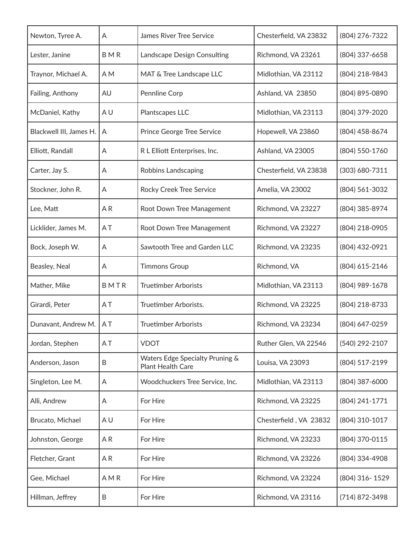| Newton, Tyree A.        | A              | <b>James River Tree Service</b>                      | Chesterfield, VA 23832 | (804) 276-7322 |
|-------------------------|----------------|------------------------------------------------------|------------------------|----------------|
| Lester, Janine          | BMR            | Landscape Design Consulting                          | Richmond, VA 23261     | (804) 337-6658 |
| Traynor, Michael A.     | A M            | MAT & Tree Landscape LLC                             | Midlothian, VA 23112   | (804) 218-9843 |
| Failing, Anthony        | AU             | Pennline Corp                                        | Ashland, VA 23850      | (804) 895-0890 |
| McDaniel, Kathy         | A <sub>U</sub> | Plantscapes LLC                                      | Midlothian, VA 23113   | (804) 379-2020 |
| Blackwell III, James H. | A              | Prince George Tree Service                           | Hopewell, VA 23860     | (804) 458-8674 |
| Elliott, Randall        | A              | R L Elliott Enterprises, Inc.                        | Ashland, VA 23005      | (804) 550-1760 |
| Carter, Jay S.          | A              | Robbins Landscaping                                  | Chesterfield, VA 23838 | (303) 680-7311 |
| Stockner, John R.       | A              | Rocky Creek Tree Service                             | Amelia, VA 23002       | (804) 561-3032 |
| Lee, Matt               | AR             | Root Down Tree Management                            | Richmond, VA 23227     | (804) 385-8974 |
| Licklider, James M.     | AT.            | Root Down Tree Management                            | Richmond, VA 23227     | (804) 218-0905 |
| Bock, Joseph W.         | A              | Sawtooth Tree and Garden LLC                         | Richmond, VA 23235     | (804) 432-0921 |
| Beasley, Neal           | A              | <b>Timmons Group</b>                                 | Richmond, VA           | (804) 615-2146 |
| Mather, Mike            | BMTR           | <b>Truetimber Arborists</b>                          | Midlothian, VA 23113   | (804) 989-1678 |
| Girardi, Peter          | AT             | Truetimber Arborists.                                | Richmond, VA 23225     | (804) 218-8733 |
| Dunavant, Andrew M.     | AT             | <b>Truetimber Arborists</b>                          | Richmond, VA 23234     | (804) 647-0259 |
| Jordan, Stephen         | AT             | <b>VDOT</b>                                          | Ruther Glen, VA 22546  | (540) 292-2107 |
| Anderson, Jason         | B              | Waters Edge Specialty Pruning &<br>Plant Health Care | Louisa, VA 23093       | (804) 517-2199 |
| Singleton, Lee M.       | A              | Woodchuckers Tree Service, Inc.                      | Midlothian, VA 23113   | (804) 387-6000 |
| Alli, Andrew            | A              | For Hire                                             | Richmond, VA 23225     | (804) 241-1771 |
| Brucato, Michael        | A U            | For Hire                                             | Chesterfield, VA 23832 | (804) 310-1017 |
| Johnston, George        | AR             | For Hire                                             | Richmond, VA 23233     | (804) 370-0115 |
| Fletcher, Grant         | AR             | For Hire                                             | Richmond, VA 23226     | (804) 334-4908 |
| Gee, Michael            | AMR            | For Hire                                             | Richmond, VA 23224     | (804) 316-1529 |
| Hillman, Jeffrey        | B              | For Hire                                             | Richmond, VA 23116     | (714) 872-3498 |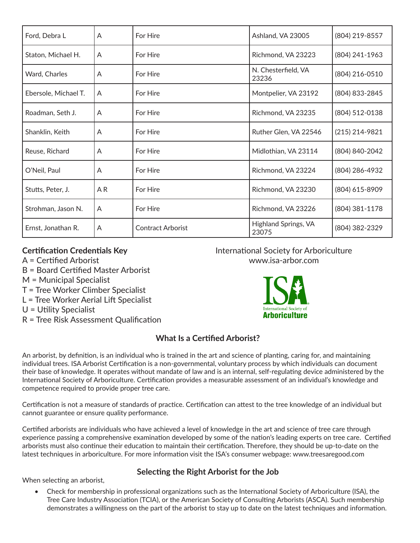| Ford, Debra L        | A  | For Hire                 | Ashland, VA 23005             | (804) 219-8557   |
|----------------------|----|--------------------------|-------------------------------|------------------|
| Staton, Michael H.   | A  | For Hire                 | Richmond, VA 23223            | (804) 241-1963   |
| Ward, Charles        | A  | For Hire                 | N. Chesterfield, VA<br>23236  | (804) 216-0510   |
| Ebersole, Michael T. | A  | For Hire                 | Montpelier, VA 23192          | (804) 833-2845   |
| Roadman, Seth J.     | A  | For Hire                 | Richmond, VA 23235            | (804) 512-0138   |
| Shanklin, Keith      | A  | For Hire                 | Ruther Glen, VA 22546         | $(215)$ 214-9821 |
| Reuse, Richard       | A  | For Hire                 | Midlothian, VA 23114          | (804) 840-2042   |
| O'Neil, Paul         | A  | For Hire                 | Richmond, VA 23224            | (804) 286-4932   |
| Stutts, Peter, J.    | AR | For Hire                 | Richmond, VA 23230            | (804) 615-8909   |
| Strohman, Jason N.   | A  | For Hire                 | Richmond, VA 23226            | (804) 381-1178   |
| Ernst, Jonathan R.   | A  | <b>Contract Arborist</b> | Highland Springs, VA<br>23075 | (804) 382-2329   |

#### **Certification Credentials Key**

- A = Certified Arborist
- B = Board Certified Master Arborist
- M = Municipal Specialist
- T = Tree Worker Climber Specialist
- L = Tree Worker Aerial Lift Specialist
- U = Utility Specialist
- R = Tree Risk Assessment Qualification

## International Society for Arboriculture www.isa-arbor.com



## **What Is a Certified Arborist?**

An arborist, by definition, is an individual who is trained in the art and science of planting, caring for, and maintaining individual trees. ISA Arborist Certification is a non-governmental, voluntary process by which individuals can document their base of knowledge. It operates without mandate of law and is an internal, self-regulating device administered by the International Society of Arboriculture. Certification provides a measurable assessment of an individual's knowledge and competence required to provide proper tree care.

Certification is not a measure of standards of practice. Certification can attest to the tree knowledge of an individual but cannot guarantee or ensure quality performance.

Certified arborists are individuals who have achieved a level of knowledge in the art and science of tree care through experience passing a comprehensive examination developed by some of the nation's leading experts on tree care. Certified arborists must also continue their education to maintain their certification. Therefore, they should be up-to-date on the latest techniques in arboriculture. For more information visit the ISA's consumer webpage: www.treesaregood.com

## **Selecting the Right Arborist for the Job**

When selecting an arborist,

• Check for membership in professional organizations such as the International Society of Arboriculture (ISA), the Tree Care Industry Association (TCIA), or the American Society of Consulting Arborists (ASCA). Such membership demonstrates a willingness on the part of the arborist to stay up to date on the latest techniques and information.